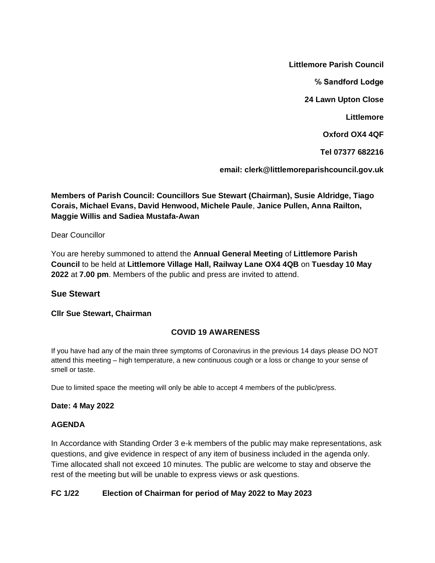**Littlemore Parish Council**

**℅ Sandford Lodge**

**24 Lawn Upton Close**

**Littlemore**

**Oxford OX4 4QF**

**Tel 07377 682216**

**email: clerk@littlemoreparishcouncil.gov.uk**

**Members of Parish Council: Councillors Sue Stewart (Chairman), Susie Aldridge, Tiago Corais, Michael Evans, David Henwood, Michele Paule**, **Janice Pullen, Anna Railton, Maggie Willis and Sadiea Mustafa-Awan**

Dear Councillor

You are hereby summoned to attend the **Annual General Meeting** of **Littlemore Parish Council** to be held at **Littlemore Village Hall, Railway Lane OX4 4QB** on **Tuesday 10 May 2022** at **7.00 pm**. Members of the public and press are invited to attend.

# **Sue Stewart**

### **Cllr Sue Stewart, Chairman**

# **COVID 19 AWARENESS**

If you have had any of the main three symptoms of Coronavirus in the previous 14 days please DO NOT attend this meeting – high temperature, a new continuous cough or a loss or change to your sense of smell or taste.

Due to limited space the meeting will only be able to accept 4 members of the public/press.

### **Date: 4 May 2022**

### **AGENDA**

In Accordance with Standing Order 3 e-k members of the public may make representations, ask questions, and give evidence in respect of any item of business included in the agenda only. Time allocated shall not exceed 10 minutes. The public are welcome to stay and observe the rest of the meeting but will be unable to express views or ask questions.

### **FC 1/22 Election of Chairman for period of May 2022 to May 2023**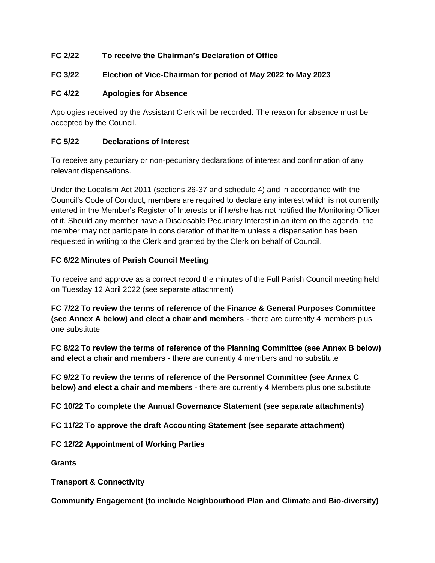# **FC 2/22 To receive the Chairman's Declaration of Office**

# **FC 3/22 Election of Vice-Chairman for period of May 2022 to May 2023**

# **FC 4/22 Apologies for Absence**

Apologies received by the Assistant Clerk will be recorded. The reason for absence must be accepted by the Council.

### **FC 5/22 Declarations of Interest**

To receive any pecuniary or non-pecuniary declarations of interest and confirmation of any relevant dispensations.

Under the Localism Act 2011 (sections 26-37 and schedule 4) and in accordance with the Council's Code of Conduct, members are required to declare any interest which is not currently entered in the Member's Register of Interests or if he/she has not notified the Monitoring Officer of it. Should any member have a Disclosable Pecuniary Interest in an item on the agenda, the member may not participate in consideration of that item unless a dispensation has been requested in writing to the Clerk and granted by the Clerk on behalf of Council.

# **FC 6/22 Minutes of Parish Council Meeting**

To receive and approve as a correct record the minutes of the Full Parish Council meeting held on Tuesday 12 April 2022 (see separate attachment)

**FC 7/22 To review the terms of reference of the Finance & General Purposes Committee (see Annex A below) and elect a chair and members** - there are currently 4 members plus one substitute

**FC 8/22 To review the terms of reference of the Planning Committee (see Annex B below) and elect a chair and members** - there are currently 4 members and no substitute

**FC 9/22 To review the terms of reference of the Personnel Committee (see Annex C below) and elect a chair and members** - there are currently 4 Members plus one substitute

**FC 10/22 To complete the Annual Governance Statement (see separate attachments)**

**FC 11/22 To approve the draft Accounting Statement (see separate attachment)**

**FC 12/22 Appointment of Working Parties**

**Grants**

**Transport & Connectivity**

**Community Engagement (to include Neighbourhood Plan and Climate and Bio-diversity)**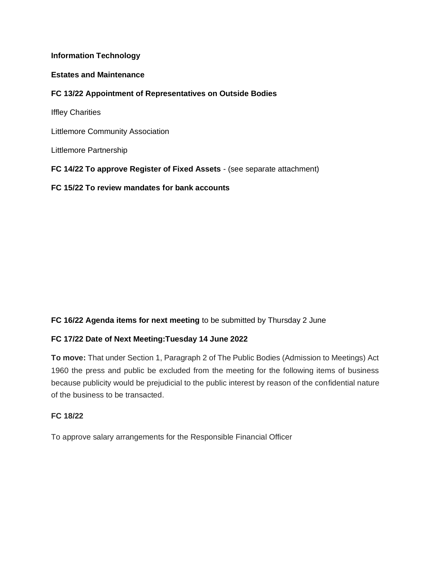### **Information Technology**

#### **Estates and Maintenance**

#### **FC 13/22 Appointment of Representatives on Outside Bodies**

Iffley Charities

Littlemore Community Association

Littlemore Partnership

**FC 14/22 To approve Register of Fixed Assets** - (see separate attachment)

**FC 15/22 To review mandates for bank accounts**

### **FC 16/22 Agenda items for next meeting** to be submitted by Thursday 2 June

### **FC 17/22 Date of Next Meeting:Tuesday 14 June 2022**

**To move:** That under Section 1, Paragraph 2 of The Public Bodies (Admission to Meetings) Act 1960 the press and public be excluded from the meeting for the following items of business because publicity would be prejudicial to the public interest by reason of the confidential nature of the business to be transacted.

### **FC 18/22**

To approve salary arrangements for the Responsible Financial Officer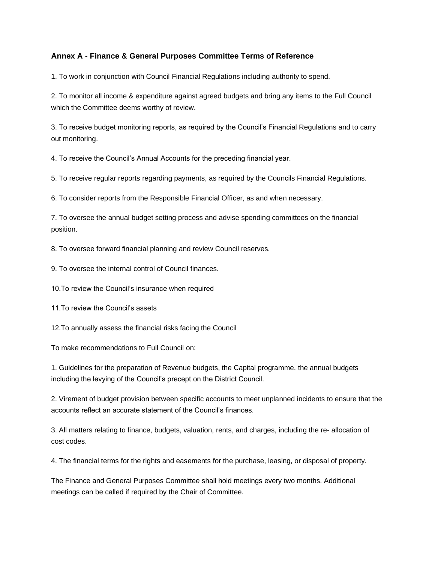### **Annex A - Finance & General Purposes Committee Terms of Reference**

1. To work in conjunction with Council Financial Regulations including authority to spend.

2. To monitor all income & expenditure against agreed budgets and bring any items to the Full Council which the Committee deems worthy of review.

3. To receive budget monitoring reports, as required by the Council's Financial Regulations and to carry out monitoring.

4. To receive the Council's Annual Accounts for the preceding financial year.

5. To receive regular reports regarding payments, as required by the Councils Financial Regulations.

6. To consider reports from the Responsible Financial Officer, as and when necessary.

7. To oversee the annual budget setting process and advise spending committees on the financial position.

8. To oversee forward financial planning and review Council reserves.

9. To oversee the internal control of Council finances.

10.To review the Council's insurance when required

11.To review the Council's assets

12.To annually assess the financial risks facing the Council

To make recommendations to Full Council on:

1. Guidelines for the preparation of Revenue budgets, the Capital programme, the annual budgets including the levying of the Council's precept on the District Council.

2. Virement of budget provision between specific accounts to meet unplanned incidents to ensure that the accounts reflect an accurate statement of the Council's finances.

3. All matters relating to finance, budgets, valuation, rents, and charges, including the re- allocation of cost codes.

4. The financial terms for the rights and easements for the purchase, leasing, or disposal of property.

The Finance and General Purposes Committee shall hold meetings every two months. Additional meetings can be called if required by the Chair of Committee.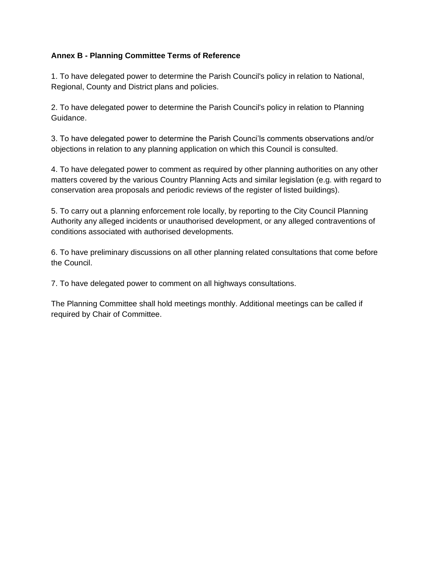# **Annex B - Planning Committee Terms of Reference**

1. To have delegated power to determine the Parish Council's policy in relation to National, Regional, County and District plans and policies.

2. To have delegated power to determine the Parish Council's policy in relation to Planning Guidance.

3. To have delegated power to determine the Parish Counci'ls comments observations and/or objections in relation to any planning application on which this Council is consulted.

4. To have delegated power to comment as required by other planning authorities on any other matters covered by the various Country Planning Acts and similar legislation (e.g. with regard to conservation area proposals and periodic reviews of the register of listed buildings).

5. To carry out a planning enforcement role locally, by reporting to the City Council Planning Authority any alleged incidents or unauthorised development, or any alleged contraventions of conditions associated with authorised developments.

6. To have preliminary discussions on all other planning related consultations that come before the Council.

7. To have delegated power to comment on all highways consultations.

The Planning Committee shall hold meetings monthly. Additional meetings can be called if required by Chair of Committee.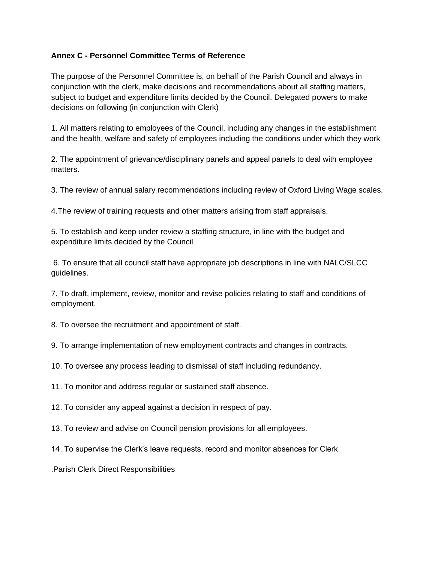### **Annex C - Personnel Committee Terms of Reference**

The purpose of the Personnel Committee is, on behalf of the Parish Council and always in conjunction with the clerk, make decisions and recommendations about all staffing matters, subject to budget and expenditure limits decided by the Council. Delegated powers to make decisions on following (in conjunction with Clerk)

1. All matters relating to employees of the Council, including any changes in the establishment and the health, welfare and safety of employees including the conditions under which they work

2. The appointment of grievance/disciplinary panels and appeal panels to deal with employee matters.

3. The review of annual salary recommendations including review of Oxford Living Wage scales.

4.The review of training requests and other matters arising from staff appraisals.

5. To establish and keep under review a staffing structure, in line with the budget and expenditure limits decided by the Council

6. To ensure that all council staff have appropriate job descriptions in line with NALC/SLCC guidelines.

7. To draft, implement, review, monitor and revise policies relating to staff and conditions of employment.

8. To oversee the recruitment and appointment of staff.

9. To arrange implementation of new employment contracts and changes in contracts.

10. To oversee any process leading to dismissal of staff including redundancy.

11. To monitor and address regular or sustained staff absence.

12. To consider any appeal against a decision in respect of pay.

13. To review and advise on Council pension provisions for all employees.

14. To supervise the Clerk's leave requests, record and monitor absences for Clerk

.Parish Clerk Direct Responsibilities